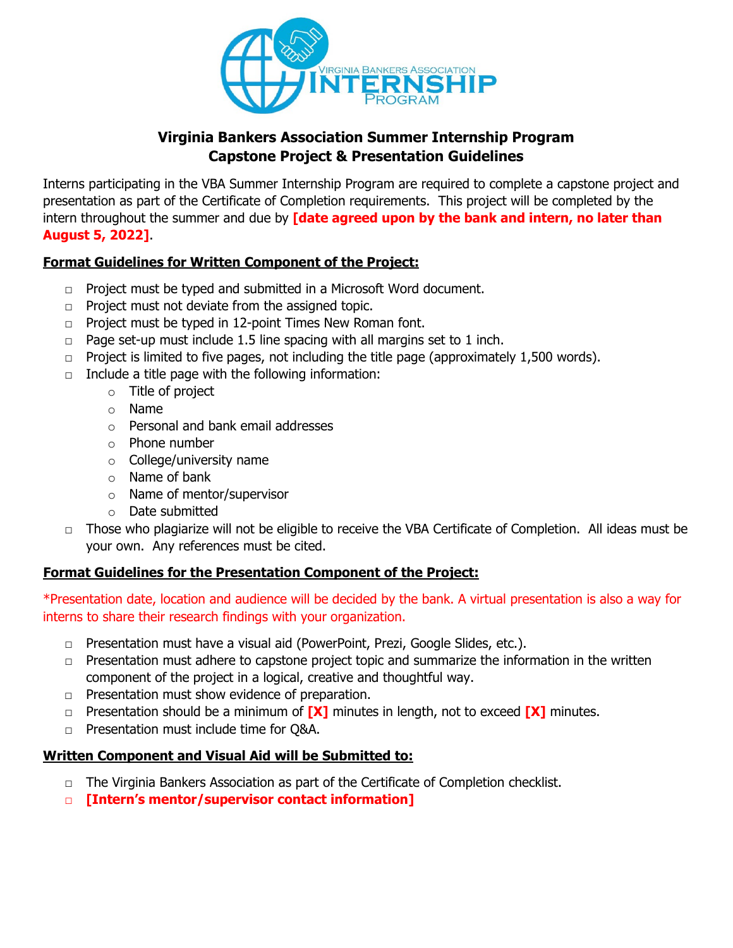

### **Virginia Bankers Association Summer Internship Program Capstone Project & Presentation Guidelines**

Interns participating in the VBA Summer Internship Program are required to complete a capstone project and presentation as part of the Certificate of Completion requirements. This project will be completed by the intern throughout the summer and due by **[date agreed upon by the bank and intern, no later than August 5, 2022]**.

### **Format Guidelines for Written Component of the Project:**

- $\Box$  Project must be typed and submitted in a Microsoft Word document.
- $\Box$  Project must not deviate from the assigned topic.
- □ Project must be typed in 12-point Times New Roman font.
- $\Box$  Page set-up must include 1.5 line spacing with all margins set to 1 inch.
- $\Box$  Project is limited to five pages, not including the title page (approximately 1,500 words).
- $\Box$  Include a title page with the following information:
	- o Title of project
		- o Name
		- o Personal and bank email addresses
		- o Phone number
		- o College/university name
		- o Name of bank
		- o Name of mentor/supervisor
		- o Date submitted
- $\Box$  Those who plagiarize will not be eligible to receive the VBA Certificate of Completion. All ideas must be your own. Any references must be cited.

#### **Format Guidelines for the Presentation Component of the Project:**

\*Presentation date, location and audience will be decided by the bank. A virtual presentation is also a way for interns to share their research findings with your organization.

- $\Box$  Presentation must have a visual aid (PowerPoint, Prezi, Google Slides, etc.).
- $\Box$  Presentation must adhere to capstone project topic and summarize the information in the written component of the project in a logical, creative and thoughtful way.
- □ Presentation must show evidence of preparation.
- □ Presentation should be a minimum of **[X]** minutes in length, not to exceed **[X]** minutes.
- □ Presentation must include time for Q&A.

# **Written Component and Visual Aid will be Submitted to:**

- $\Box$  The Virginia Bankers Association as part of the Certificate of Completion checklist.
- □ **[Intern's mentor/supervisor contact information]**